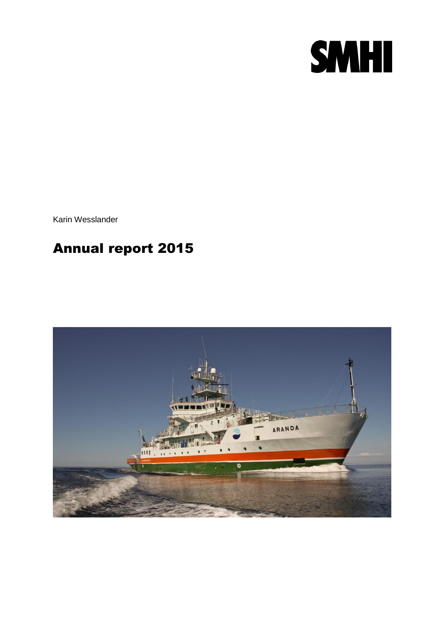

Karin Wesslander

# Annual report 2015

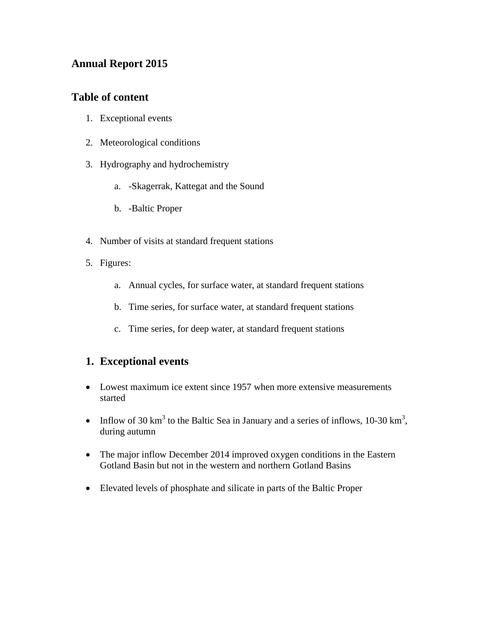### **Annual Report 2015**

### **Table of content**

- 1. Exceptional events
- 2. Meteorological conditions
- 3. Hydrography and hydrochemistry
	- a. -Skagerrak, Kattegat and the Sound
	- b. -Baltic Proper
- 4. Number of visits at standard frequent stations
- 5. Figures:
	- a. Annual cycles, for surface water, at standard frequent stations
	- b. Time series, for surface water, at standard frequent stations
	- c. Time series, for deep water, at standard frequent stations

### **1. Exceptional events**

- Lowest maximum ice extent since 1957 when more extensive measurements started
- Inflow of 30 km<sup>3</sup> to the Baltic Sea in January and a series of inflows,  $10\text{-}30 \text{ km}^3$ , during autumn
- The major inflow December 2014 improved oxygen conditions in the Eastern Gotland Basin but not in the western and northern Gotland Basins
- Elevated levels of phosphate and silicate in parts of the Baltic Proper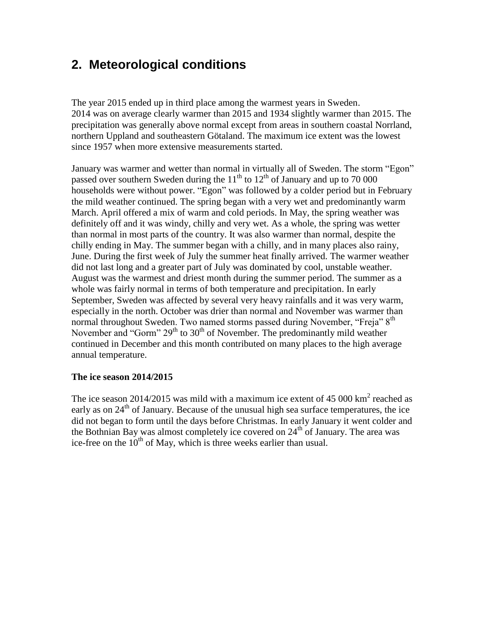## **2. Meteorological conditions**

The year 2015 ended up in third place among the warmest years in Sweden. 2014 was on average clearly warmer than 2015 and 1934 slightly warmer than 2015. The precipitation was generally above normal except from areas in southern coastal Norrland, northern Uppland and southeastern Götaland. The maximum ice extent was the lowest since 1957 when more extensive measurements started.

January was warmer and wetter than normal in virtually all of Sweden. The storm "Egon" passed over southern Sweden during the  $11<sup>th</sup>$  to  $12<sup>th</sup>$  of January and up to 70 000 households were without power. "Egon" was followed by a colder period but in February the mild weather continued. The spring began with a very wet and predominantly warm March. April offered a mix of warm and cold periods. In May, the spring weather was definitely off and it was windy, chilly and very wet. As a whole, the spring was wetter than normal in most parts of the country. It was also warmer than normal, despite the chilly ending in May. The summer began with a chilly, and in many places also rainy, June. During the first week of July the summer heat finally arrived. The warmer weather did not last long and a greater part of July was dominated by cool, unstable weather. August was the warmest and driest month during the summer period. The summer as a whole was fairly normal in terms of both temperature and precipitation. In early September, Sweden was affected by several very heavy rainfalls and it was very warm, especially in the north. October was drier than normal and November was warmer than normal throughout Sweden. Two named storms passed during November, "Freia" 8<sup>th</sup> November and "Gorm"  $29<sup>th</sup>$  to  $30<sup>th</sup>$  of November. The predominantly mild weather continued in December and this month contributed on many places to the high average annual temperature.

#### **The ice season 2014/2015**

The ice season 2014/2015 was mild with a maximum ice extent of 45 000  $\text{km}^2$  reached as early as on  $24<sup>th</sup>$  of January. Because of the unusual high sea surface temperatures, the ice did not began to form until the days before Christmas. In early January it went colder and the Bothnian Bay was almost completely ice covered on  $24<sup>th</sup>$  of January. The area was ice-free on the  $10<sup>th</sup>$  of May, which is three weeks earlier than usual.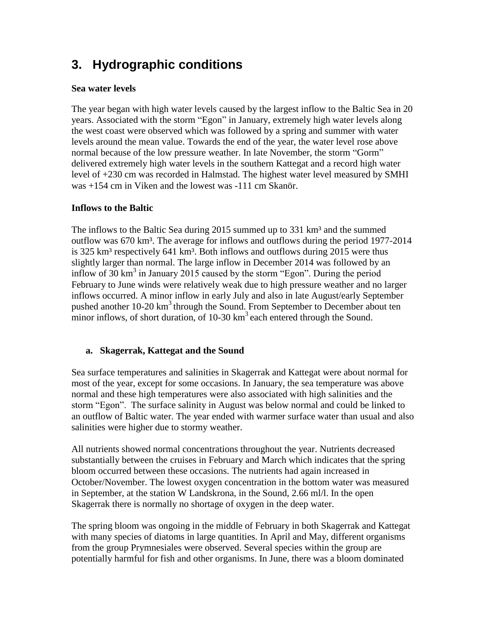## **3. Hydrographic conditions**

#### **Sea water levels**

The year began with high water levels caused by the largest inflow to the Baltic Sea in 20 years. Associated with the storm "Egon" in January, extremely high water levels along the west coast were observed which was followed by a spring and summer with water levels around the mean value. Towards the end of the year, the water level rose above normal because of the low pressure weather. In late November, the storm "Gorm" delivered extremely high water levels in the southern Kattegat and a record high water level of +230 cm was recorded in Halmstad. The highest water level measured by SMHI was +154 cm in Viken and the lowest was -111 cm Skanör.

#### **Inflows to the Baltic**

The inflows to the Baltic Sea during  $2015$  summed up to  $331 \text{ km}^3$  and the summed outflow was 670 km<sup>3</sup>. The average for inflows and outflows during the period 1977-2014 is 325 km<sup>3</sup> respectively 641 km<sup>3</sup>. Both inflows and outflows during 2015 were thus slightly larger than normal. The large inflow in December 2014 was followed by an inflow of  $30 \text{ km}^3$  in January 2015 caused by the storm "Egon". During the period February to June winds were relatively weak due to high pressure weather and no larger inflows occurred. A minor inflow in early July and also in late August/early September pushed another  $10-20 \text{ km}^3$  through the Sound. From September to December about ten minor inflows, of short duration, of  $10-30 \text{ km}^3$  each entered through the Sound.

#### **a. Skagerrak, Kattegat and the Sound**

Sea surface temperatures and salinities in Skagerrak and Kattegat were about normal for most of the year, except for some occasions. In January, the sea temperature was above normal and these high temperatures were also associated with high salinities and the storm "Egon". The surface salinity in August was below normal and could be linked to an outflow of Baltic water. The year ended with warmer surface water than usual and also salinities were higher due to stormy weather.

All nutrients showed normal concentrations throughout the year. Nutrients decreased substantially between the cruises in February and March which indicates that the spring bloom occurred between these occasions. The nutrients had again increased in October/November. The lowest oxygen concentration in the bottom water was measured in September, at the station W Landskrona, in the Sound, 2.66 ml/l. In the open Skagerrak there is normally no shortage of oxygen in the deep water.

The spring bloom was ongoing in the middle of February in both Skagerrak and Kattegat with many species of diatoms in large quantities. In April and May, different organisms from the group Prymnesiales were observed. Several species within the group are potentially harmful for fish and other organisms. In June, there was a bloom dominated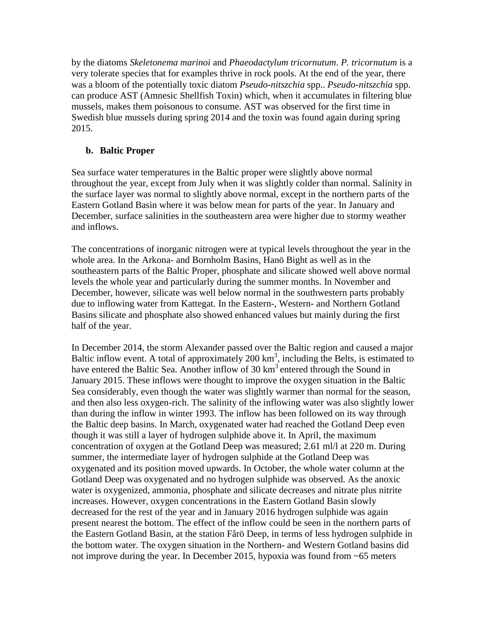by the diatoms *Skeletonema marinoi* and *Phaeodactylum tricornutum*. *P. tricornutum* is a very tolerate species that for examples thrive in rock pools. At the end of the year, there was a bloom of the potentially toxic diatom *Pseudo-nitszchia* spp.. *Pseudo-nitszchia* spp. can produce AST (Amnesic Shellfish Toxin) which, when it accumulates in filtering blue mussels, makes them poisonous to consume. AST was observed for the first time in Swedish blue mussels during spring 2014 and the toxin was found again during spring 2015.

#### **b. Baltic Proper**

Sea surface water temperatures in the Baltic proper were slightly above normal throughout the year, except from July when it was slightly colder than normal. Salinity in the surface layer was normal to slightly above normal, except in the northern parts of the Eastern Gotland Basin where it was below mean for parts of the year. In January and December, surface salinities in the southeastern area were higher due to stormy weather and inflows.

The concentrations of inorganic nitrogen were at typical levels throughout the year in the whole area. In the Arkona- and Bornholm Basins, Hanö Bight as well as in the southeastern parts of the Baltic Proper, phosphate and silicate showed well above normal levels the whole year and particularly during the summer months. In November and December, however, silicate was well below normal in the southwestern parts probably due to inflowing water from Kattegat. In the Eastern-, Western- and Northern Gotland Basins silicate and phosphate also showed enhanced values but mainly during the first half of the year.

In December 2014, the storm Alexander passed over the Baltic region and caused a major Baltic inflow event. A total of approximately 200  $\text{km}^3$ , including the Belts, is estimated to have entered the Baltic Sea. Another inflow of 30  $km<sup>3</sup>$  entered through the Sound in January 2015. These inflows were thought to improve the oxygen situation in the Baltic Sea considerably, even though the water was slightly warmer than normal for the season, and then also less oxygen-rich. The salinity of the inflowing water was also slightly lower than during the inflow in winter 1993. The inflow has been followed on its way through the Baltic deep basins. In March, oxygenated water had reached the Gotland Deep even though it was still a layer of hydrogen sulphide above it. In April, the maximum concentration of oxygen at the Gotland Deep was measured; 2.61 ml/l at 220 m. During summer, the intermediate layer of hydrogen sulphide at the Gotland Deep was oxygenated and its position moved upwards. In October, the whole water column at the Gotland Deep was oxygenated and no hydrogen sulphide was observed. As the anoxic water is oxygenized, ammonia, phosphate and silicate decreases and nitrate plus nitrite increases. However, oxygen concentrations in the Eastern Gotland Basin slowly decreased for the rest of the year and in January 2016 hydrogen sulphide was again present nearest the bottom. The effect of the inflow could be seen in the northern parts of the Eastern Gotland Basin, at the station Fårö Deep, in terms of less hydrogen sulphide in the bottom water. The oxygen situation in the Northern- and Western Gotland basins did not improve during the year. In December 2015, hypoxia was found from  $\sim 65$  meters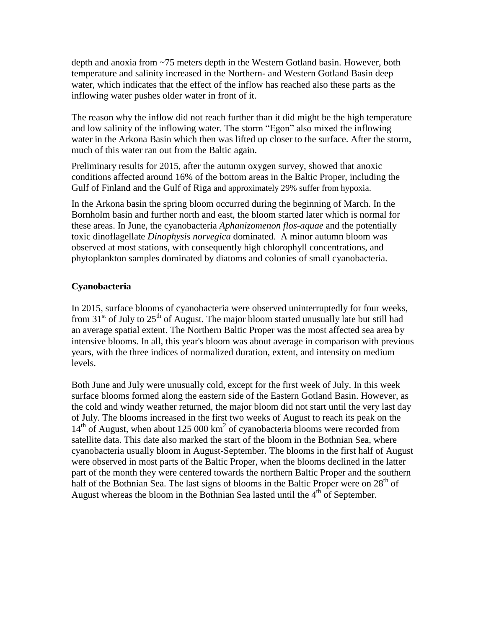depth and anoxia from ~75 meters depth in the Western Gotland basin. However, both temperature and salinity increased in the Northern- and Western Gotland Basin deep water, which indicates that the effect of the inflow has reached also these parts as the inflowing water pushes older water in front of it.

The reason why the inflow did not reach further than it did might be the high temperature and low salinity of the inflowing water. The storm "Egon" also mixed the inflowing water in the Arkona Basin which then was lifted up closer to the surface. After the storm, much of this water ran out from the Baltic again.

Preliminary results for 2015, after the autumn oxygen survey, showed that anoxic conditions affected around 16% of the bottom areas in the Baltic Proper, including the Gulf of Finland and the Gulf of Riga and approximately 29% suffer from hypoxia.

In the Arkona basin the spring bloom occurred during the beginning of March. In the Bornholm basin and further north and east, the bloom started later which is normal for these areas. In June, the cyanobacteria *Aphanizomenon flos-aquae* and the potentially toxic dinoflagellate *Dinophysis norvegica* dominated. A minor autumn bloom was observed at most stations, with consequently high chlorophyll concentrations, and phytoplankton samples dominated by diatoms and colonies of small cyanobacteria.

#### **Cyanobacteria**

In 2015, surface blooms of cyanobacteria were observed uninterruptedly for four weeks, from  $31<sup>st</sup>$  of July to  $25<sup>th</sup>$  of August. The major bloom started unusually late but still had an average spatial extent. The Northern Baltic Proper was the most affected sea area by intensive blooms. In all, this year's bloom was about average in comparison with previous years, with the three indices of normalized duration, extent, and intensity on medium levels.

Both June and July were unusually cold, except for the first week of July. In this week surface blooms formed along the eastern side of the Eastern Gotland Basin. However, as the cold and windy weather returned, the major bloom did not start until the very last day of July. The blooms increased in the first two weeks of August to reach its peak on the 14<sup>th</sup> of August, when about 125 000 km<sup>2</sup> of cyanobacteria blooms were recorded from satellite data. This date also marked the start of the bloom in the Bothnian Sea, where cyanobacteria usually bloom in August-September. The blooms in the first half of August were observed in most parts of the Baltic Proper, when the blooms declined in the latter part of the month they were centered towards the northern Baltic Proper and the southern half of the Bothnian Sea. The last signs of blooms in the Baltic Proper were on  $28<sup>th</sup>$  of August whereas the bloom in the Bothnian Sea lasted until the  $4<sup>th</sup>$  of September.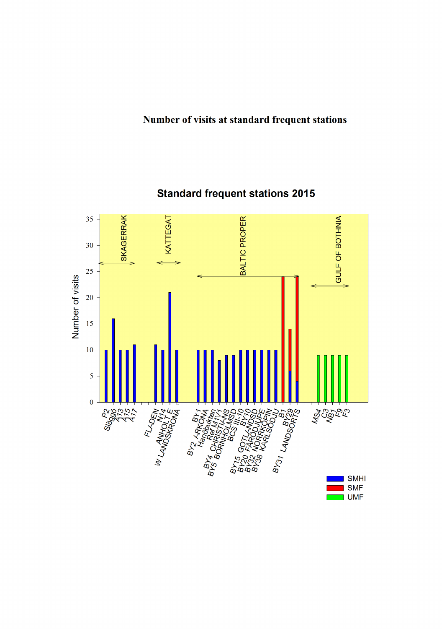### Number of visits at standard frequent stations



## **Standard frequent stations 2015**